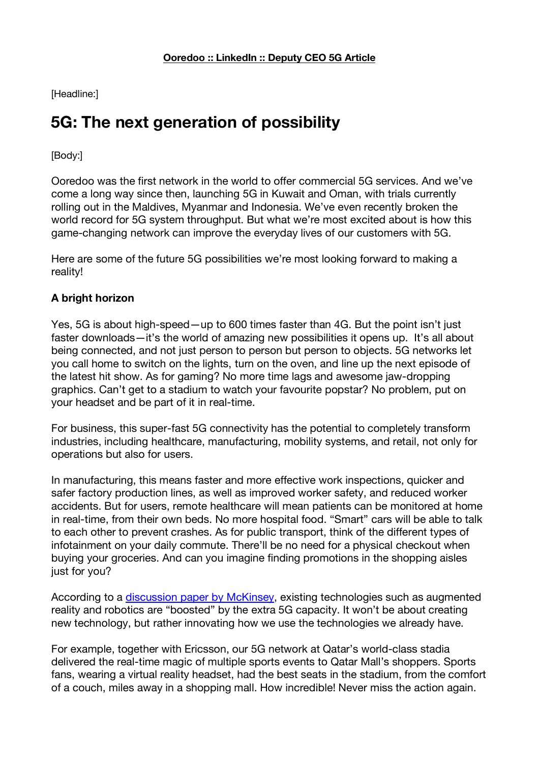[Headline:]

## **5G: The next generation of possibility**

[Body:]

Ooredoo was the first network in the world to offer commercial 5G services. And we've come a long way since then, launching 5G in Kuwait and Oman, with trials currently rolling out in the Maldives, Myanmar and Indonesia. We've even recently broken the world record for 5G system throughput. But what we're most excited about is how this game-changing network can improve the everyday lives of our customers with 5G.

Here are some of the future 5G possibilities we're most looking forward to making a reality!

## **A bright horizon**

Yes, 5G is about high-speed—up to 600 times faster than 4G. But the point isn't just faster downloads—it's the world of amazing new possibilities it opens up. It's all about being connected, and not just person to person but person to objects. 5G networks let you call home to switch on the lights, turn on the oven, and line up the next episode of the latest hit show. As for gaming? No more time lags and awesome jaw-dropping graphics. Can't get to a stadium to watch your favourite popstar? No problem, put on your headset and be part of it in real-time.

For business, this super-fast 5G connectivity has the potential to completely transform industries, including healthcare, manufacturing, mobility systems, and retail, not only for operations but also for users.

In manufacturing, this means faster and more effective work inspections, quicker and safer factory production lines, as well as improved worker safety, and reduced worker accidents. But for users, remote healthcare will mean patients can be monitored at home in real-time, from their own beds. No more hospital food. "Smart" cars will be able to talk to each other to prevent crashes. As for public transport, think of the different types of infotainment on your daily commute. There'll be no need for a physical checkout when buying your groceries. And can you imagine finding promotions in the shopping aisles just for you?

According to a discussion paper by McKinsey, existing technologies such as augmented reality and robotics are "boosted" by the extra 5G capacity. It won't be about creating new technology, but rather innovating how we use the technologies we already have.

For example, together with Ericsson, our 5G network at Qatar's world-class stadia delivered the real-time magic of multiple sports events to Qatar Mall's shoppers. Sports fans, wearing a virtual reality headset, had the best seats in the stadium, from the comfort of a couch, miles away in a shopping mall. How incredible! Never miss the action again.